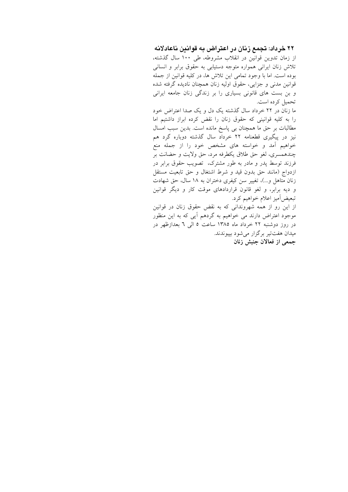۲۲ خرداد: تجمع زنان در اعتراض به قوانین ناعادلانه از زمان تدوین قوانین در انقلاب مشروطه، طی ۱۰۰ سال گذشته، تلاش زنان ایرانی همواره متوجه دستیابی به حقوق برابر و انسانی بوده است. اما با وجود تمامی این تلاش ها، در کلیه قوانین از جمله قوانین مدنی و جزایی، حقوق اولیه زنان همچنان نادیده گرفته شده و بن بست های قانونی بسیاری را بر زندگی زنان جامعه ایرانی تحميل كرده است.

ما زنان در ۲۲ خرداد سال گذشته یک دل و یک صدا اعتراض خود را به کلیه قوانینی که حقوق زنان را نقض کرده ابراز داشتیم اما مطالبات بر حق ما همچنان بی پاسخ مانده است. بدین سبب امسال نیز در پیگیری قطعنامه ۲۲ خرداد سال گذشته دوباره گرد هم خواهیم آمد و خواسته های مشخص خود را از جمله منع چندهمسری، لغو حق طلاق یکطرفه مرد، حق ولایت و حضانت بر فرزند توسط پدر و مادر به طور مشترک، تصویب حقوق برابر در ازدواج (مانند حق بدون قيد و شرط اشتغال و حق تابعيت مستقل زنان متاهل و...)، تغییر سن کیفری دختران به ۱۸ سال، حق شهادت و دیه برابر، و لغو قانون قراردادهای موقت کار و دیگر قوانین تبعيض]ميز اعلام خواهيم كرد. از این رو از همه شهروندانی که به نقض حقوق زنان در قوانین موجود اعتراض دارند می خواهیم به گردهم آیی که به این منظور

در روز دوشنبه ۲۲ خرداد ماه ۱۳۸۵ ساعت ۵ البی ٦ بعدازظهر در ميدان هفتتير برگزار مي شود بپيوندند. جمعی از فعالان جنبش زنان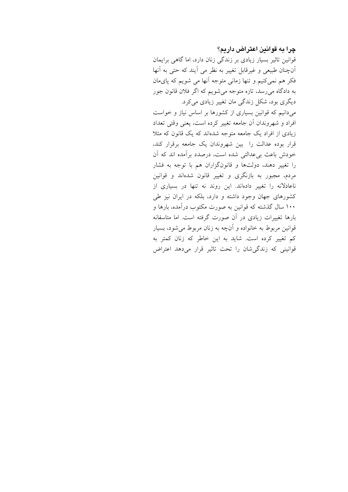#### چرا به قوانین اعتراض داریم؟

قوانین تاثیر بسیار زیادی بر زندگی زنان دارد، اما گاهی برایمان آنچنان طبیعی و غیرقابل تغییر به نظر می آیند که حتی به آنها فکر هم نمیکنیم و تنها زمانی متوجه آنها می شویم که پایمان به دادگاه میرسد، تازه متوجه میشویم که اگر فلان قانون جور دیگری بود، شکل زندگی مان تغییر زیادی میکرد. میدانیم که قوانین بسیاری از کشورها بر اساس نیاز و خواست

افراد و شهروندان أن جامعه تغییر کرده است، یعنی وقتی تعداد زیادی از افراد یک جامعه متوجه شدهاند که یک قانون که مثلا قرار بوده عدالت را بین شهروندان یک جامعه برقرار کند، خودش باعث برعدالتي شده است، درصدد برأمده اند كه أن را تغییر دهند، دولتها و قانونگزاران هم با توجه به فشار مردم، مجبور به بازنگری و تغییر قانون شدهاند و قوانین ناعادلانه را تغییر دادهاند. این روند نه تنها در بسیاری از کشورهای جهان وجود داشته و دارد، بلکه در ایران نیز طی ۱۰۰ سال گذشته که قوانین به صورت مکتوب درآمده، بارها و بارها تغییرات زیادی در آن صورت گرفته است. اما متاسفانه قوانین مربوط به خانواده و آنچه به زنان مربوط میشود، بسیار کم تغییر کرده است. شاید به این خاطر که زنان کمتر به قوانینی که زندگی شان را تحت تاثیر قرار میدهد اعتراض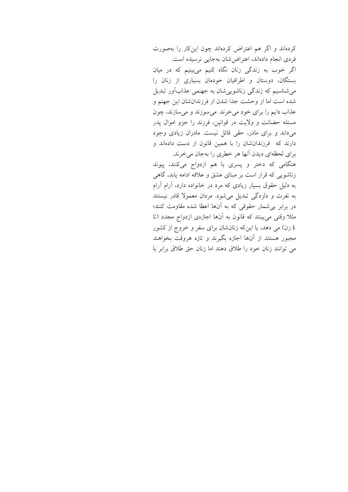کردهاند و اگر هم اعتراض کردهاند چون اینکار را بهصورت فردی انجام دادهاند، اعتراضشان بهجایی نرسیده است. اگر خوب به زندگی زنان نگاه کنیم میبینیم که در میان بستگان، دوستان و اطرافیان خودمان بسیاری از زنان را می شناسیم که زندگی زناشویی شان به جهنمی عذابآور تبدیل شده است اما از وحشت جدا شدن از فرزندانشان این جهنم و عذاب دايم را براي خود مي خرند. مي سوزند و مي سازند، چون مسئله حضانت و ولايت در قوانين، فرزند را جزو اموال يدر میداند و برای مادر، حقی قائل نیست. مادران زیادی وجود دارند که فرزندانشان را با همین قانون از دست دادهاند و برای لحظهای دیدن آنها هر خطری را بهجان می خرند.

هنگامی که دختر و پسری با هم ازدواج میکنند، پیوند زناشویی که قرار است بر مبنای عشق و علاقه ادامه یابد، گاهی به دلیل حقوق بسیار زیادی که مرد در خانواده دارد، آرام آرام به نفرت و دلزدگی تبدیل می شود. مردان معمولا قادر نیستند در برابر بی شمار حقوقی که به آنها اعطا شده مقاومت کنند؛ مثلاً وقتی می بینند که قانون به آنها اجازهی ازدواج مجدد (تا ٤ زن) می دهد، یا اینکه زنانشان برای سفر و خروج از کشور مجبور هستند از آنها اجازه بگیرند و تازه هروقت بخواهند می توانند زنان خود را طلاق دهند اما زنان حق طلاق برابر با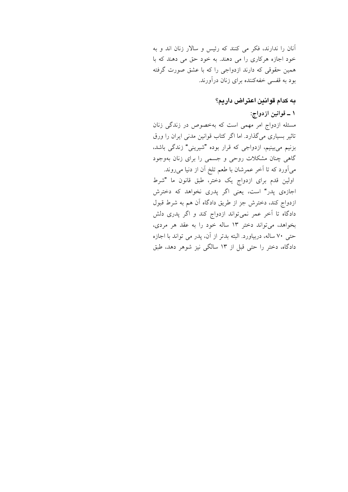آنان را ندارند، فکر می کنند که رئیس و سالار زنان اند و به خود اجازه هرکاری را می دهند. به خود حق می دهند که با همین حقوقی که دارند ازدواجی را که با عشق صورت گرفته بود به قفسی خفهکننده برای زنان در آورند.

# به كدام قوانين اعتراض داريم؟

## ١ ــ قوانين ازدواج:

مسئله ازدواج امر مهمی است که بهخصوص در زندگی زنان تاثیر بسیاری میگذارد. اما اگر کتاب قوانین مدنی ایران را ورق بزنیم میبینیم، ازدواجی که قرار بوده "شیرینی" زندگی باشد، گاهی چنان مشکلات روحی و جسمی را برای زنان بهوجود می آورد که تا آخر عمرشان با طعم تلخ آن از دنیا می روند. اولین قدم برای ازدواج یک دختر، طبق قانون ما "شرط اجازهی پدر" است، یعنی اگر پدری نخواهد که دخترش ازدواج کند، دخترش جز از طریق دادگاه آن هم به شرط قبول دادگاه تا آخر عمر نمیتواند ازدواج کند و اگر پدری دلش بخواهد، می تواند دختر ١٣ ساله خود را به عقد هر مردی، حتى ٧٠ ساله، دربياورد. البته بدتر از آن، پدر مي تواند با اجازه دادگاه، دختر را حتی قبل از ۱۳ سالگی نیز شوهر دهد، طبق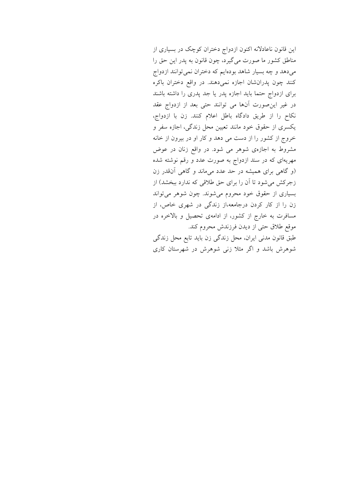این قانون ناعادلانه اکنون ازدواج دختران کوچک در بسیاری از مناطق کشور ما صورت میگیرد، چون قانون به پدر این حق را میدهد و چه بسیار شاهد بودهایم که دختران نمی توانند ازدواج کنند چون پدرانشان اجازه نمیدهند. در واقع دختران باکره برای ازدواج حتما باید اجازه پدر یا جد پدری را داشته باشند در غیر این صورت آنها می توانند حتی بعد از ازدواج عقد نكام را از طريق دادگاه باطل اعلام كنند. زن با ازدواج، یکسری از حقوق خود مانند تعیین محل زندگی، اجازه سفر و خروج از کشور را از دست می دهد و کار او در بیرون از خانه مشروط به اجازهی شوهر می شود. در واقع زنان در عوض مهریهای که در سند ازدواج به صورت عدد و رقم نوشته شده (و گاهی برای همیشه در حد عدد میماند و گاهی آنقدر زن زجرکش می شود تا آن را برای حق طلاقی که ندارد ببخشد) از بسیاری از حقوق خود محروم می شوند. چون شوهر می تواند زن را از کار کردن درجامعه،از زندگی در شهری خاص، از مسافرت به خارج از کشور، از ادامهی تحصیل و بالاخره در موقع طلاق حتى از ديدن فرزندش محروم كند. طبق قانون مدنی ایران، محل زندگی زن باید تابع محل زندگی شوهرش باشد و اگر مثلاً زنبی شوهرش در شهرستان کاری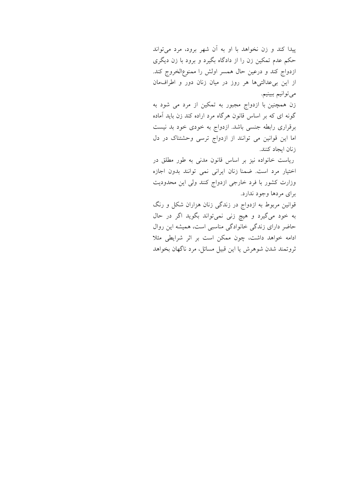پیدا کند و زن نخواهد با او به آن شهر برود، مرد میتواند حکم عدم تمکین زن را از دادگاه بگیرد و برود با زن دیگری ازدواج کند و درعین حال همسر اولش را ممنوع|لخروج کند. از این بی عدالتیها هر روز در میان زنان دور و اطراف مان ميتوانيم ببينيم.

زن همچنین با ازدواج مجبور به تمکین از مرد می شود به گونه ای که بر اساس قانون هرگاه مرد اراده کند زن باید آماده برقراری رابطه جنسی باشد. ازدواج به خودی خود بد نیست اما این قوانین می توانند از ازدواج ترسی وحشتناک در دل زنان ابجاد كنند.

ریاست خانواده نیز بر اساس قانون مدنی به طور مطلق در اختیار مرد است. ضمنا زنان ایرانی نمی توانند بدون اجازه وزارت كشور با فرد خارجي ازدواج كنند ولي اين محدوديت براي مردها وجود ندارد.

قوانین مربوط به ازدواج در زندگی زنان هزاران شکل و رنگ به خود میگیرد و هیچ زنی نمیتواند بگوید اگر در حال حاضر دارای زندگی خانوادگی مناسبی است، همیشه این روال ادامه خواهد داشت، چون ممکن است بر اثر شرایطی مثلا ثروتمند شدن شوهرش یا این قبیل مسائل، مرد ناگهان بخواهد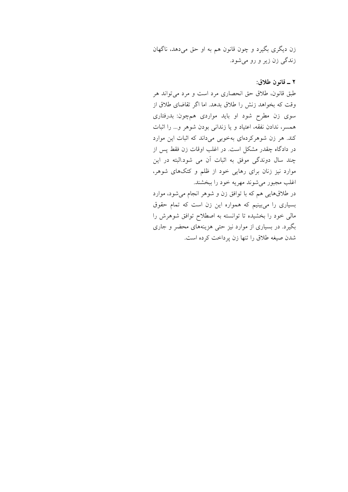زن ديگري بگيرد و چون قانون هم به او حق مي دهد، ناگهان زندگی زن زير و رو مي شود.

#### ٢ \_ قانون طلاق:

طبق قانون، طلاق حق انحصارى مرد است و مرد مى تواند هر وقت كه بخواهد زنش را طلاق بدهد. اما اگر تقاضاي طلاق از سوی زن مطرح شود او باید مواردی همچون: بدرفتاری همسر، ندادن نفقه، اعتیاد و یا زندانی بودن شوهر و… را اثبات کند. هر زن شوهرکردهای بهخوبی میداند که اثبات این موارد در دادگاه چقدر مشکل است. در اغلب اوقات زن فقط پس از چند سال دوندگی موفق به اثبات آن می شود.البته در این موارد نیز زنان برای رهایی خود از ظلم و کتکهای شوهر، اغلب مجبور مي شوند مهريه خود را ببخشند.

در طلاقهایی هم که با توافق زن و شوهر انجام میشود، موارد بسیاری را میبینیم که همواره این زن است که تمام حقوق مالی خود را بخشیده تا توانسته به اصطلاح توافق شوهرش را بگیرد. در بسیاری از موارد نیز حتی هزینههای محضر و جاری شدن صيغه طلاق را تنها زن پرداخت كرده است.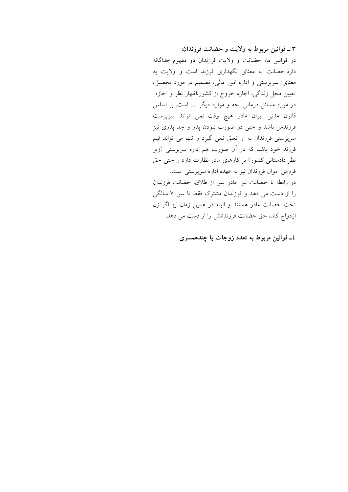٣ ـ قوانين مربوط به ولايت و حضانت فرزندان: در قوانین ما، حضانت و ولایت فرزندان دو مفهوم جداگانه دارد.حضانت به معنای نگهداری فرزند است و ولایت به معنای: سرپرستی و اداره امور مالی، تصمیم در مورد تحصیل، تعیین محل زندگی، اجازه خروج از کشور،اظهار نظر و اجازه در مورد مسائل درمانی بچه و موارد دیگر …. است. بر اساس قانون مدنی ایران مادر هیچ وقت نمی تواند سرپرست فرزندش باشد و حتی در صورت نبودن پدر و جد پدری نیز سرپرستی فرزندان به او تعلق نمی گیرد و تنها می تواند قیم فرزند خود باشد که در آن صورت هم اداره سرپرستی (زیر نظر دادستانی کشور) بر کارهای مادر نظارت دارد و حتی حق فروش اموال فرزندان نیز به عهده اداره سرپرستی است. در رابطه با حضانت نیز: مادر پس از طلاق، حضانت فرزندان را از دست می دهد و فرزندان مشترک فقط تا سن ۷ سالگی تحت حضانت مادر هستند و البته در همین زمان نیز اگر زن ازدواج كند، حق حضانت فرزندانش را از دست می دهد.

٤ـ قوانين مربوط به تعدد زوجات يا چندهمسري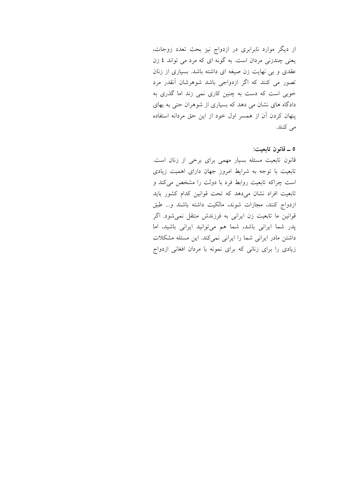از دیگر موارد نابرابری در ازدواج نیز بحث تعدد زوجات، یعنی چندزنی مردان است. به گونه ای که مرد می تواند ٤ زن عقدی و بی نهایت زن صیغه ای داشته باشد. بسیاری از زنان تصور می کنند که اگر ازدواجی باشد شوهرشان آنقدر مرد خوبی است که دست به چنین کاری نمی زند اما گذری به دادگاه های نشان می دهد که بسیاری از شوهران حتی به بهای ینهان کردن آن از همسر اول خود از این حق مردانه استفاده می کنند.

٥ ــ قانون تابعيت:

قانون تابعیت مسئله بسیار مهمی برای برخی از زنان است. تابعیت با توجه به شرایط امروز جهان دارای اهمیت زیادی است چراکه تابعیت روابط فرد با دولت را مشخص می کند و تابعیت افراد نشان میدهد که تحت قوانین کدام کشور باید ازدواج كنند، مجازات شوند، مالكيت داشته باشند و... طبق قوانین ما تابعیت زن ایرانی به فرزندش منتقل نمی شود. اگر پدر شما ایرانی باشد، شما هم میتوانید ایرانی باشید، اما داشتن مادر ایرانی شما را ایرانی نمیکند. این مسئله مشکلات زیادی را برای زنانی که برای نمونه با مردان افغانی ازدواج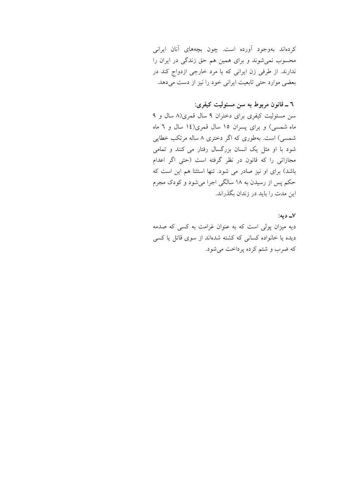کردهاند بهوجود آورده است. چون بچههای آنان ایرانی محسوب نمیشوند و برای همین هم حق زندگی در ایران را ندارند. از طرفی زن ایرانی که با مرد خارجی ازدواج کند در بعضی موارد حتی تابعیت ایرانی خود را نیز از دست می دهد.

### ٦ ـ قانون مربوط به سن مسئوليت كيفري:

سن مسئولیت کیفری برای دختران ۹ سال قمری(۸ سال و ۹ ماه شمسی) و برای پسران ۱۵ سال قمری(۱٤ سال و ٦ ماه شمسی) است. بهطوری که اگر دختری ۸ ساله مرتکب خطایی شود با او مثل یک انسان بزرگسال رفتار می کنند و تمامی مجازاتی را که قانون در نظر گرفته است (حتی اگر اعدام باشد) برای او نیز صادر می شود. تنها استثنا هم این است که حکم پس از رسیدن به ۱۸ سالگی اجرا میشود و کودک مجرم این مدت را باید در زندان بگذراند.

٧\_ دىه: دیه میزان پولی است که به عنوان غرامت به کسی که صدمه دیده یا خانواده کسانی که کشته شدهاند از سوی قاتل یا کسی که ضرب و شتم کرده پرداخت میشود.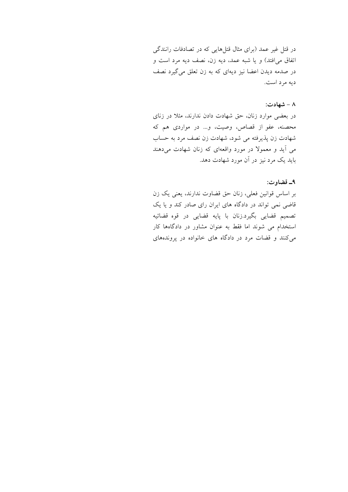در قتل غیر عمد (برای مثال قتلهایی که در تصادفات رانندگی اتفاق می افتد) و یا شبه عمد، دیه زن، نصف دیه مرد است و در صدمه دیدن اعضا نیز دیهای که به زن تعلق میگیرد نصف ديه مرد است.

#### ۸ - شهادت:

در بعضی موارد زنان، حق شهادت دادن ندارند، مثلا در زنای محصنه، عفو از قصاص، وصیت، و… در مواردی هم که شهادت زن پذیرفته می شود، شهادت زن نصف مرد به حساب می آید و معمولا در مورد واقعهای که زنان شهادت میدهند باید یک مرد نیز در آن مورد شهادت دهد.

#### ٩\_ قضاوت:

بر اساس قوانین فعلی، زنان حق قضاوت ندارند، یعنی یک زن قاضی نمی تواند در دادگاه های ایران رای صادر کند و یا یک تصميم قضايي بگيرد.زنان با پايه قضايي در قوه قضائيه استخدام می شوند اما فقط به عنوان مشاور در دادگاهها کار می کنند و قضات مرد در دادگاه های خانواده در پروندههای